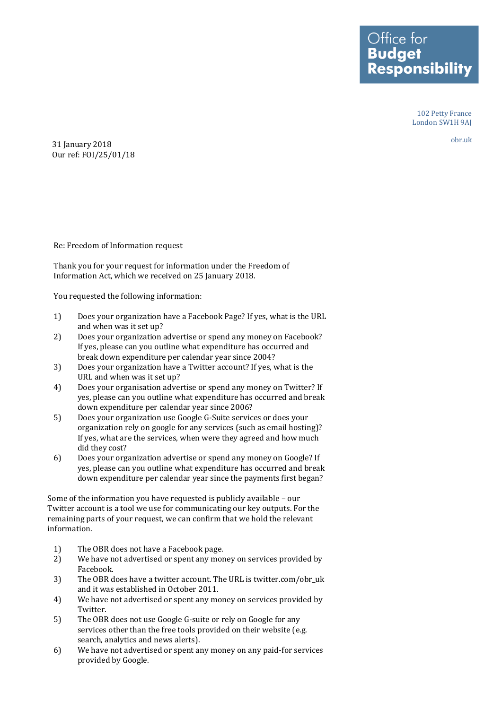**Budget Responsibility** 

Office for

102 Petty France London SW1H 9AJ

obr.uk

31 January 2018 Our ref: FOI/25/01/18

Re: Freedom of Information request

Thank you for your request for information under the Freedom of Information Act, which we received on 25 January 2018.

You requested the following information:

- 1) Does your organization have a Facebook Page? If yes, what is the URL and when was it set up?
- 2) Does your organization advertise or spend any money on Facebook? If yes, please can you outline what expenditure has occurred and break down expenditure per calendar year since 2004?
- 3) Does your organization have a Twitter account? If yes, what is the URL and when was it set up?
- 4) Does your organisation advertise or spend any money on Twitter? If yes, please can you outline what expenditure has occurred and break down expenditure per calendar year since 2006?
- 5) Does your organization use Google G-Suite services or does your organization rely on google for any services (such as email hosting)? If yes, what are the services, when were they agreed and how much did they cost?
- 6) Does your organization advertise or spend any money on Google? If yes, please can you outline what expenditure has occurred and break down expenditure per calendar year since the payments first began?

Some of the information you have requested is publicly available – our Twitter account is a tool we use for communicating our key outputs. For the remaining parts of your request, we can confirm that we hold the relevant information.

- 1) The OBR does not have a Facebook page.
- 2) We have not advertised or spent any money on services provided by Facebook.
- 3) The OBR does have a twitter account. The URL is twitter.com/obr\_uk and it was established in October 2011.
- 4) We have not advertised or spent any money on services provided by Twitter.
- 5) The OBR does not use Google G-suite or rely on Google for any services other than the free tools provided on their website (e.g. search, analytics and news alerts).
- 6) We have not advertised or spent any money on any paid-for services provided by Google.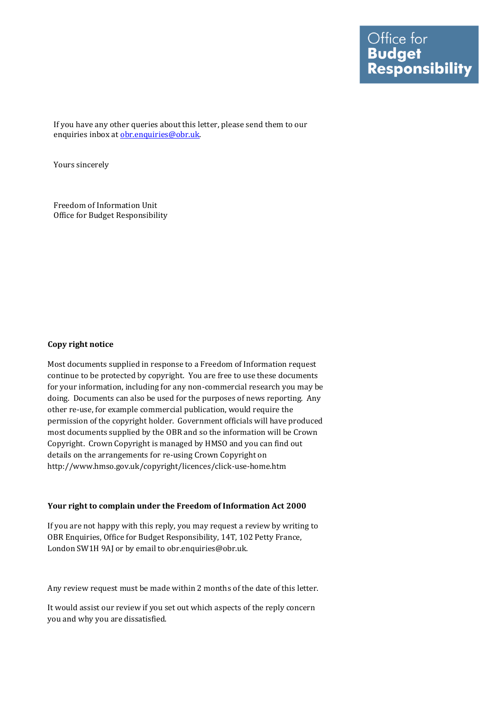If you have any other queries about this letter, please send them to our enquiries inbox at [obr.enquiries@obr.uk.](mailto:obr.enquiries@obr.uk)

Yours sincerely

Freedom of Information Unit Office for Budget Responsibility

## **Copy right notice**

Most documents supplied in response to a Freedom of Information request continue to be protected by copyright. You are free to use these documents for your information, including for any non-commercial research you may be doing. Documents can also be used for the purposes of news reporting. Any other re-use, for example commercial publication, would require the permission of the copyright holder. Government officials will have produced most documents supplied by the OBR and so the information will be Crown Copyright. Crown Copyright is managed by HMSO and you can find out details on the arrangements for re-using Crown Copyright on http://www.hmso.gov.uk/copyright/licences/click-use-home.htm

## **Your right to complain under the Freedom of Information Act 2000**

If you are not happy with this reply, you may request a review by writing to OBR Enquiries, Office for Budget Responsibility, 14T, 102 Petty France, London SW1H 9AJ or by email to obr.enquiries@obr.uk.

Any review request must be made within 2 months of the date of this letter.

It would assist our review if you set out which aspects of the reply concern you and why you are dissatisfied.